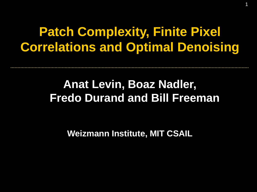## **Patch Complexity, Finite Pixel Correlations and Optimal Denoising**

1

## **Anat Levin, Boaz Nadler, Fredo Durand and Bill Freeman**

**Weizmann Institute, MIT CSAIL**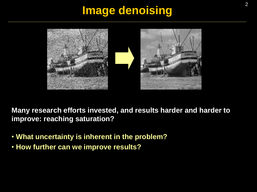### **Image denoising**



**Many research efforts invested, and results harder and harder to improve: reaching saturation?**

- **What uncertainty is inherent in the problem?**
- **How further can we improve results?**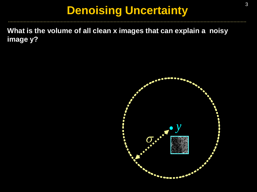### **Denoising Uncertainty**

**What is the volume of all clean x images that can explain a noisy image y?**

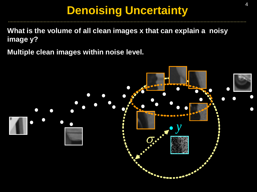## **Denoising Uncertainty**

**What is the volume of all clean images x that can explain a noisy image y?**

**Multiple clean images within noise level.** 

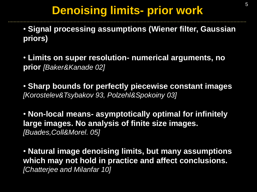## **Denoising limits- prior work**

• **Signal processing assumptions (Wiener filter, Gaussian priors)**

• **Limits on super resolution- numerical arguments, no prior** *[Baker&Kanade 02]*

• **Sharp bounds for perfectly piecewise constant images**  *[Korostelev&Tsybakov 93, Polzehl&Spokoiny 03]*

• **Non-local means- asymptotically optimal for infinitely large images. No analysis of finite size images.**  *[Buades,Coll&Morel. 05]*

• **Natural image denoising limits, but many assumptions which may not hold in practice and affect conclusions.**  *[Chatterjee and Milanfar 10]*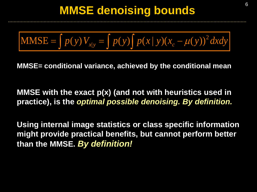$$
\text{MMSE} = \int p(y) V_{x|y} = \int p(y) \int p(x | y) (x_c - \mu(y))^2 dxdy
$$

**MMSE= conditional variance, achieved by the conditional mean**

**MMSE with the exact p(x) (and not with heuristics used in practice), is the** *optimal possible denoising. By definition.* 

**Using internal image statistics or class specific information might provide practical benefits, but cannot perform better than the MMSE.** *By definition!*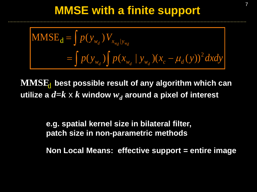### **MMSE with a finite support**

$$
\begin{aligned} \n\text{MMSE}_{\mathbf{d}} &= \int p(y_{w_d}) V_{x_{w_d} | y_{w_d}} \\ \n&= \int p(y_{w_d}) \int p(x_{w_d} | y_{w_d}) (x_c - \mu_d(y))^2 \, dxdy \n\end{aligned}
$$

 $\mathbf{MMSE}_{\mathbf{d}}$  best possible result of any algorithm which can utilize a  $d{=}k\times k$  window  $w_d$  around a pixel of interest

> **e.g. spatial kernel size in bilateral filter, patch size in non-parametric methods**

**Non Local Means: effective support = entire image**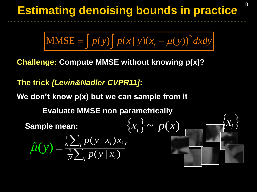## **Estimating denoising bounds in practice**

$$
MMSE = \int p(y) \int p(x | y) (x_c - \mu(y))^2 dxdy
$$

**Challenge: Compute MMSE without knowing p(x)?**

### **The trick** *[Levin&Nadler CVPR11]***:**

**We don't know p(x) but we can sample from it** 

**Evaluate MMSE non parametrically**

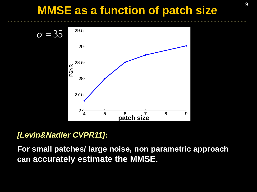### **MMSE as a function of patch size**



#### *[Levin&Nadler CVPR11]***:**

**For small patches/ large noise, non parametric approach can accurately estimate the MMSE.**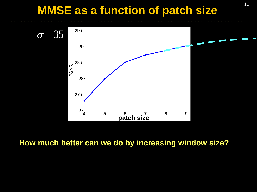## **MMSE as a function of patch size**



#### **How much better can we do by increasing window size?**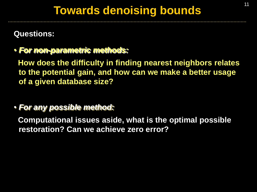### **Questions:**

### • *For non-parametric methods:*

 **How does the difficulty in finding nearest neighbors relates to the potential gain, and how can we make a better usage of a given database size?**

#### • *For any possible method:*

 **Computational issues aside, what is the optimal possible restoration? Can we achieve zero error?**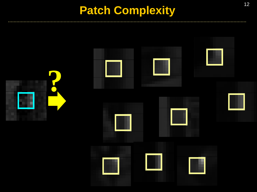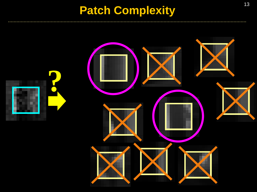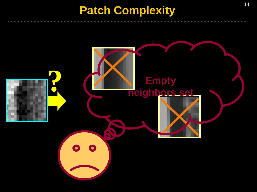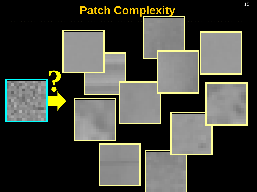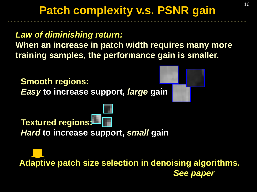## <sup>16</sup> **Patch complexity v.s. PSNR gain**

### *Law of diminishing return:*

**When an increase in patch width requires many more training samples, the performance gain is smaller.**

**Smooth regions:** *Easy* **to increase support,** *large* **gain** 



## **Textured regions:**

*Hard* **to increase support,** *small* **gain**

**Adaptive patch size selection in denoising algorithms.** *See paper*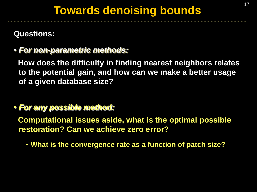### **Questions:**

### • *For non-parametric methods:*

 **How does the difficulty in finding nearest neighbors relates to the potential gain, and how can we make a better usage of a given database size?**

### • *For any possible method:*

 **Computational issues aside, what is the optimal possible restoration? Can we achieve zero error?**

**- What is the convergence rate as a function of patch size?**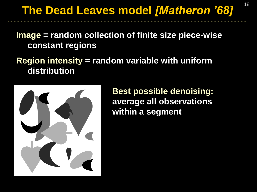**Image = random collection of finite size piece-wise constant regions**

**Region intensity = random variable with uniform distribution** 



**Best possible denoising: average all observations within a segment**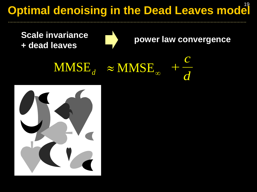## **Optimal denoising in the Dead Leaves model**



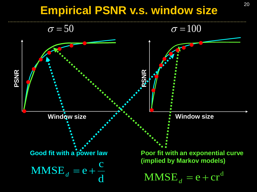## <sup>20</sup> **Empirical PSNR v.s. window size**

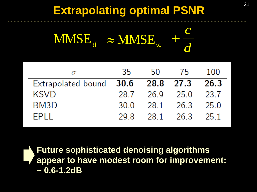## <sup>21</sup> **Extrapolating optimal PSNR**

*d c*  $\text{MMSE}_{d}$   $\approx$   $\text{MMSE}_{\infty}$  +

|                                           |  | 35 50 75 100        |  |
|-------------------------------------------|--|---------------------|--|
| Extrapolated bound $ 30.6$ 28.8 27.3 26.3 |  |                     |  |
| <b>KSVD</b>                               |  | 28.7 26.9 25.0 23.7 |  |
| BM <sub>3</sub> D                         |  | 30.0 28.1 26.3 25.0 |  |
| <b>EPI I</b>                              |  | 29.8 28.1 26.3 25.1 |  |

**Future sophisticated denoising algorithms appear to have modest room for improvement: ~ 0.6-1.2dB**